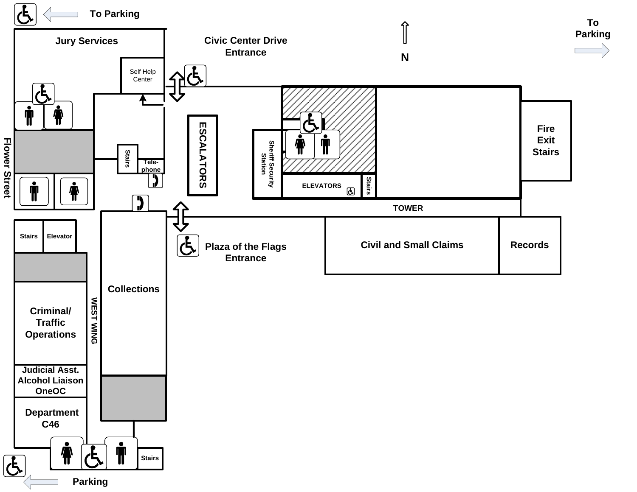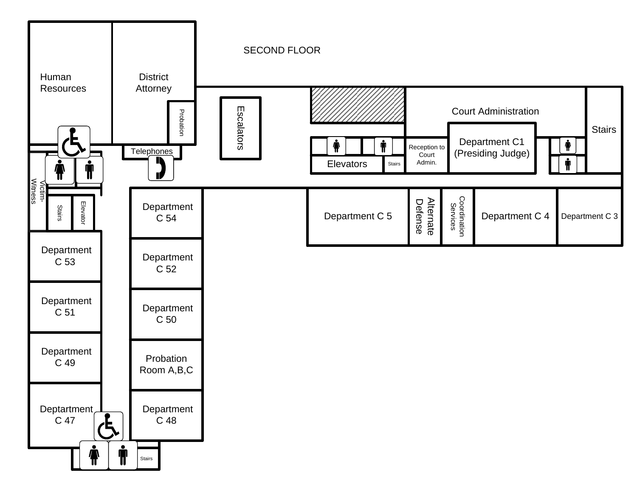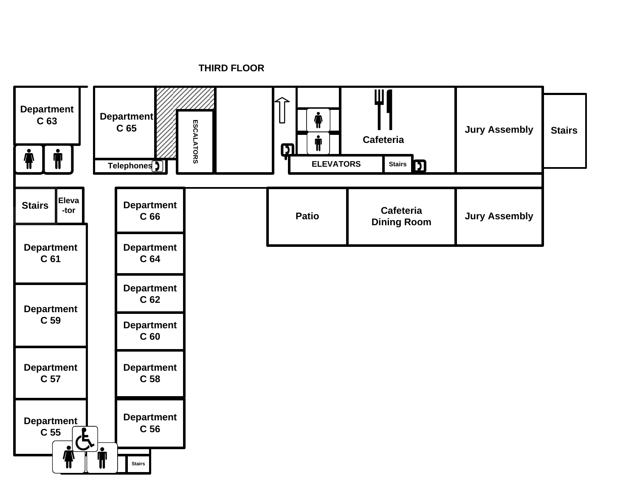**THIRD FLOOR**